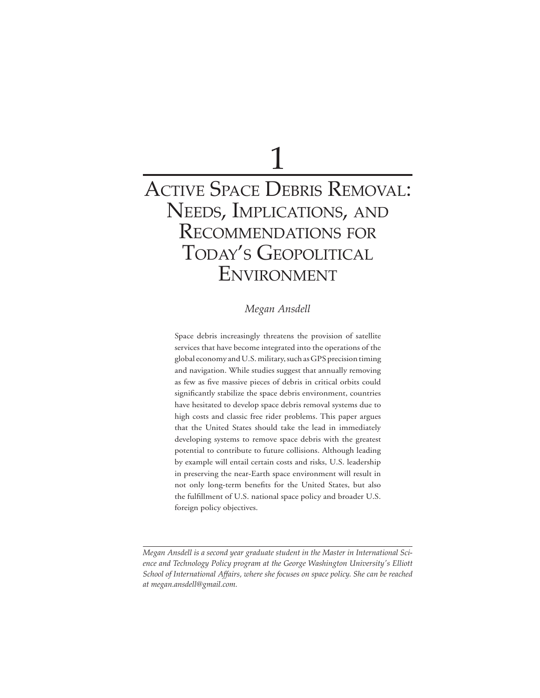# $\overline{1}$ ACTIVE SPACE DEBRIS REMOVAL: NEEDS, IMPLICATIONS, AND RECOMMENDATIONS FOR TODAY'S GEOPOLITICAL ENVIRONMENT

## $Megan$  *Ansdell*

Space debris increasingly threatens the provision of satellite services that have become integrated into the operations of the global economy and U.S. military, such as GPS precision timing and navigation. While studies suggest that annually removing as few as five massive pieces of debris in critical orbits could significantly stabilize the space debris environment, countries have hesitated to develop space debris removal systems due to high costs and classic free rider problems. This paper argues that the United States should take the lead in immediately developing systems to remove space debris with the greatest potential to contribute to future collisions. Although leading by example will entail certain costs and risks, U.S. leadership in preserving the near-Earth space environment will result in not only long-term benefits for the United States, but also the fulfillment of U.S. national space policy and broader U.S. foreign policy objectives.

 $M$ egan Ansdell is a second year graduate student in the Master in International Science and Technology Policy program at the George Washington University's Elliott *5chool of International Affairs, where she focuses on space policy. She can be reached* at megan.ansdell@gmail.com.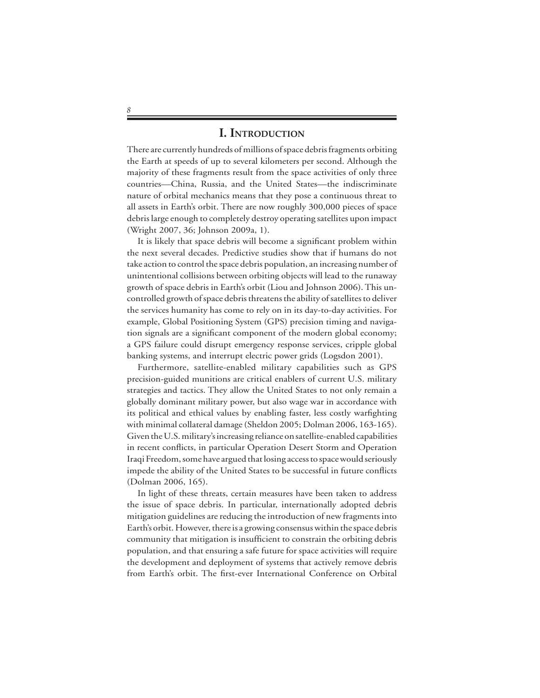## **I. INTRODUCTION**

There are currently hundreds of millions of space debris fragments orbiting the Earth at speeds of up to several kilometers per second. Although the majority of these fragments result from the space activities of only three countries—China, Russia, and the United States—the indiscriminate nature of orbital mechanics means that they pose a continuous threat to all assets in Earth's orbit. There are now roughly 300,000 pieces of space debris large enough to completely destroy operating satellites upon impact (Wright 2007, 36; Johnson 2009a, 1).

 It is likely that space debris will become a significant problem within the next several decades. Predictive studies show that if humans do not take action to control the space debris population, an increasing number of unintentional collisions between orbiting objects will lead to the runaway growth of space debris in Earth's orbit (Liou and Johnson 2006). This uncontrolled growth of space debris threatens the ability of satellites to deliver the services humanity has come to rely on in its day-to-day activities. For example, Global Positioning System (GPS) precision timing and navigation signals are a significant component of the modern global economy; a GPS failure could disrupt emergency response services, cripple global banking systems, and interrupt electric power grids (Logsdon 2001).

 Furthermore, satellite-enabled military capabilities such as GPS precision-guided munitions are critical enablers of current U.S. military strategies and tactics. They allow the United States to not only remain a globally dominant military power, but also wage war in accordance with its political and ethical values by enabling faster, less costly warfighting with minimal collateral damage (Sheldon 2005; Dolman 2006, 163-165). Given the U.S. military's increasing reliance on satellite-enabled capabilities in recent conflicts, in particular Operation Desert Storm and Operation Iraqi Freedom, some have argued that losing access to space would seriously impede the ability of the United States to be successful in future conflicts (Dolman 2006, 165).

 In light of these threats, certain measures have been taken to address the issue of space debris. In particular, internationally adopted debris mitigation guidelines are reducing the introduction of new fragments into Earth's orbit. However, there is a growing consensus within the space debris community that mitigation is insufficient to constrain the orbiting debris population, and that ensuring a safe future for space activities will require the development and deployment of systems that actively remove debris from Earth's orbit. The first-ever International Conference on Orbital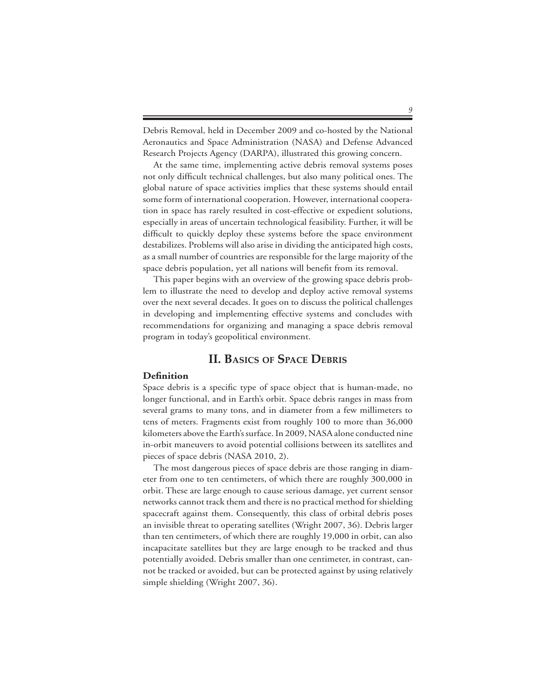Debris Removal, held in December 2009 and co-hosted by the National Aeronautics and Space Administration (NASA) and Defense Advanced Research Projects Agency (DARPA), illustrated this growing concern.

 At the same time, implementing active debris removal systems poses not only difficult technical challenges, but also many political ones. The global nature of space activities implies that these systems should entail some form of international cooperation. However, international cooperation in space has rarely resulted in cost-effective or expedient solutions, especially in areas of uncertain technological feasibility. Further, it will be difficult to quickly deploy these systems before the space environment destabilizes. Problems will also arise in dividing the anticipated high costs, as a small number of countries are responsible for the large majority of the space debris population, yet all nations will benefit from its removal.

 This paper begins with an overview of the growing space debris problem to illustrate the need to develop and deploy active removal systems over the next several decades. It goes on to discuss the political challenges in developing and implementing effective systems and concludes with recommendations for organizing and managing a space debris removal program in today's geopolitical environment.

# **II. BASICS OF SPACE DEBRIS**

#### **Definition**

Space debris is a specific type of space object that is human-made, no longer functional, and in Earth's orbit. Space debris ranges in mass from several grams to many tons, and in diameter from a few millimeters to tens of meters. Fragments exist from roughly 100 to more than 36,000 kilometers above the Earth's surface. In 2009, NASA alone conducted nine in-orbit maneuvers to avoid potential collisions between its satellites and pieces of space debris (NASA 2010, 2).

 The most dangerous pieces of space debris are those ranging in diameter from one to ten centimeters, of which there are roughly 300,000 in orbit. These are large enough to cause serious damage, yet current sensor networks cannot track them and there is no practical method for shielding spacecraft against them. Consequently, this class of orbital debris poses an invisible threat to operating satellites (Wright 2007, 36). Debris larger than ten centimeters, of which there are roughly 19,000 in orbit, can also incapacitate satellites but they are large enough to be tracked and thus potentially avoided. Debris smaller than one centimeter, in contrast, cannot be tracked or avoided, but can be protected against by using relatively simple shielding (Wright 2007, 36).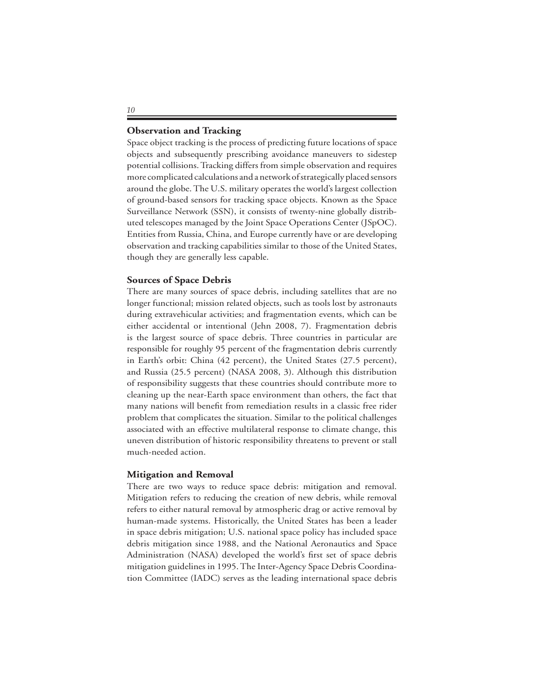#### **Observation and Tracking**

Space object tracking is the process of predicting future locations of space objects and subsequently prescribing avoidance maneuvers to sidestep potential collisions. Tracking differs from simple observation and requires more complicated calculations and a network of strategically placed sensors around the globe. The U.S. military operates the world's largest collection of ground-based sensors for tracking space objects. Known as the Space Surveillance Network (SSN), it consists of twenty-nine globally distributed telescopes managed by the Joint Space Operations Center (JSpOC). Entities from Russia, China, and Europe currently have or are developing observation and tracking capabilities similar to those of the United States, though they are generally less capable.

#### **Sources of Space Debris**

There are many sources of space debris, including satellites that are no longer functional; mission related objects, such as tools lost by astronauts during extravehicular activities; and fragmentation events, which can be either accidental or intentional (Jehn 2008, 7). Fragmentation debris is the largest source of space debris. Three countries in particular are responsible for roughly 95 percent of the fragmentation debris currently in Earth's orbit: China (42 percent), the United States (27.5 percent), and Russia (25.5 percent) (NASA 2008, 3). Although this distribution of responsibility suggests that these countries should contribute more to cleaning up the near-Earth space environment than others, the fact that many nations will benefit from remediation results in a classic free rider problem that complicates the situation. Similar to the political challenges associated with an effective multilateral response to climate change, this uneven distribution of historic responsibility threatens to prevent or stall much-needed action.

#### **Mitigation and Removal**

There are two ways to reduce space debris: mitigation and removal. Mitigation refers to reducing the creation of new debris, while removal refers to either natural removal by atmospheric drag or active removal by human-made systems. Historically, the United States has been a leader in space debris mitigation; U.S. national space policy has included space debris mitigation since 1988, and the National Aeronautics and Space Administration (NASA) developed the world's first set of space debris mitigation guidelines in 1995. The Inter-Agency Space Debris Coordination Committee (IADC) serves as the leading international space debris

*IJ*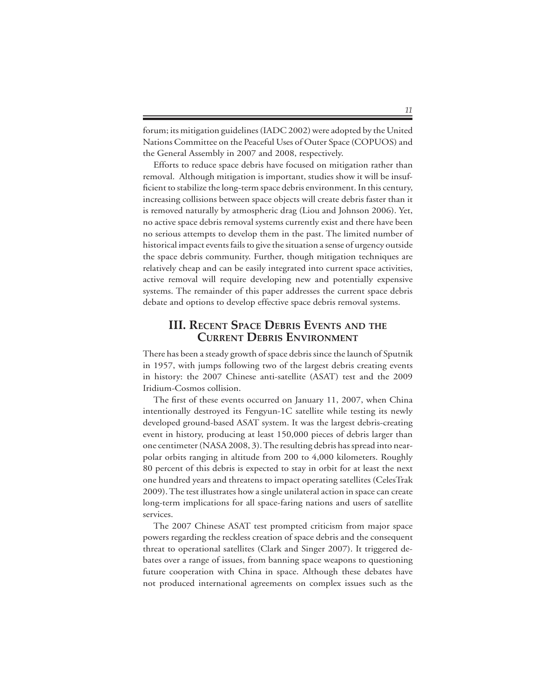forum; its mitigation guidelines (IADC 2002) were adopted by the United Nations Committee on the Peaceful Uses of Outer Space (COPUOS) and the General Assembly in 2007 and 2008, respectively.

 Efforts to reduce space debris have focused on mitigation rather than removal. Although mitigation is important, studies show it will be insufficient to stabilize the long-term space debris environment. In this century, increasing collisions between space objects will create debris faster than it is removed naturally by atmospheric drag (Liou and Johnson 2006). Yet, no active space debris removal systems currently exist and there have been no serious attempts to develop them in the past. The limited number of historical impact events fails to give the situation a sense of urgency outside the space debris community. Further, though mitigation techniques are relatively cheap and can be easily integrated into current space activities, active removal will require developing new and potentially expensive systems. The remainder of this paper addresses the current space debris debate and options to develop effective space debris removal systems.

## **III. RECENT SPACE DEBRIS EVENTS AND THE CURRENT DEBRIS ENVIRONMENT**

There has been a steady growth of space debris since the launch of Sputnik in 1957, with jumps following two of the largest debris creating events in history: the 2007 Chinese anti-satellite (ASAT) test and the 2009 Iridium-Cosmos collision.

 The first of these events occurred on January 11, 2007, when China intentionally destroyed its Fengyun-1C satellite while testing its newly developed ground-based ASAT system. It was the largest debris-creating event in history, producing at least 150,000 pieces of debris larger than one centimeter (NASA 2008, 3). The resulting debris has spread into nearpolar orbits ranging in altitude from 200 to 4,000 kilometers. Roughly 80 percent of this debris is expected to stay in orbit for at least the next one hundred years and threatens to impact operating satellites (CelesTrak 2009). The test illustrates how a single unilateral action in space can create long-term implications for all space-faring nations and users of satellite services.

 The 2007 Chinese ASAT test prompted criticism from major space powers regarding the reckless creation of space debris and the consequent threat to operational satellites (Clark and Singer 2007). It triggered debates over a range of issues, from banning space weapons to questioning future cooperation with China in space. Although these debates have not produced international agreements on complex issues such as the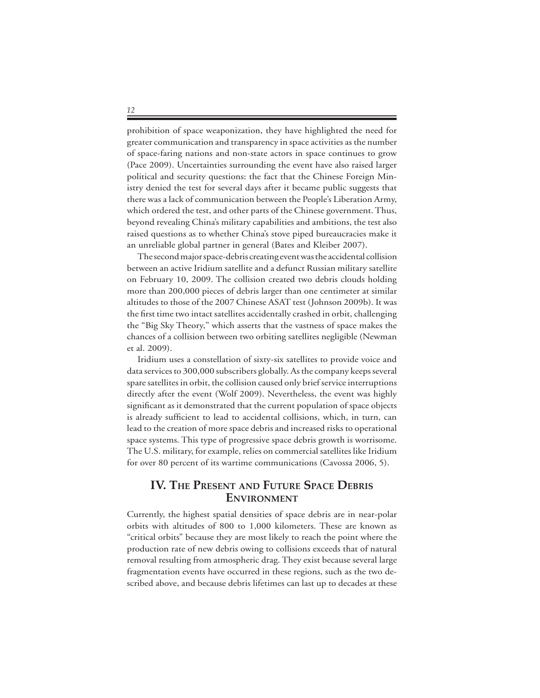prohibition of space weaponization, they have highlighted the need for greater communication and transparency in space activities as the number of space-faring nations and non-state actors in space continues to grow (Pace 2009). Uncertainties surrounding the event have also raised larger political and security questions: the fact that the Chinese Foreign Ministry denied the test for several days after it became public suggests that there was a lack of communication between the People's Liberation Army, which ordered the test, and other parts of the Chinese government. Thus, beyond revealing China's military capabilities and ambitions, the test also raised questions as to whether China's stove piped bureaucracies make it an unreliable global partner in general (Bates and Kleiber 2007).

 The second major space-debris creating event was the accidental collision between an active Iridium satellite and a defunct Russian military satellite on February 10, 2009. The collision created two debris clouds holding more than 200,000 pieces of debris larger than one centimeter at similar altitudes to those of the 2007 Chinese ASAT test (Johnson 2009b). It was the first time two intact satellites accidentally crashed in orbit, challenging the "Big Sky Theory," which asserts that the vastness of space makes the chances of a collision between two orbiting satellites negligible (Newman et al. 2009).

 Iridium uses a constellation of sixty-six satellites to provide voice and data services to 300,000 subscribers globally. As the company keeps several spare satellites in orbit, the collision caused only brief service interruptions directly after the event (Wolf 2009). Nevertheless, the event was highly significant as it demonstrated that the current population of space objects is already sufficient to lead to accidental collisions, which, in turn, can lead to the creation of more space debris and increased risks to operational space systems. This type of progressive space debris growth is worrisome. The U.S. military, for example, relies on commercial satellites like Iridium for over 80 percent of its wartime communications (Cavossa 2006, 5).

# **IV. THE PRESENT AND FUTURE SPACE DEBRIS ENVIRONMENT**

Currently, the highest spatial densities of space debris are in near-polar orbits with altitudes of 800 to 1,000 kilometers. These are known as "critical orbits" because they are most likely to reach the point where the production rate of new debris owing to collisions exceeds that of natural removal resulting from atmospheric drag. They exist because several large fragmentation events have occurred in these regions, such as the two described above, and because debris lifetimes can last up to decades at these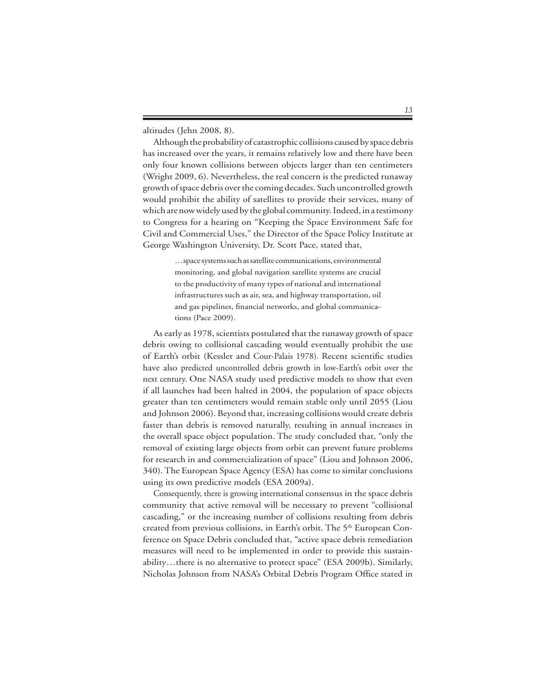altitudes (Jehn 2008, 8).

 Although the probability of catastrophic collisions caused by space debris has increased over the years, it remains relatively low and there have been only four known collisions between objects larger than ten centimeters (Wright 2009, 6). Nevertheless, the real concern is the predicted runaway growth of space debris over the coming decades. Such uncontrolled growth would prohibit the ability of satellites to provide their services, many of which are now widely used by the global community. Indeed, in a testimony to Congress for a hearing on "Keeping the Space Environment Safe for Civil and Commercial Uses," the Director of the Space Policy Institute at George Washington University, Dr. Scott Pace, stated that,

> …space systems such as satellite communications, environmental monitoring, and global navigation satellite systems are crucial to the productivity of many types of national and international infrastructures such as air, sea, and highway transportation, oil and gas pipelines, financial networks, and global communications (Pace 2009).

 As early as 1978, scientists postulated that the runaway growth of space debris owing to collisional cascading would eventually prohibit the use of Earth's orbit (Kessler and Cour-Palais 1978). Recent scientific studies have also predicted uncontrolled debris growth in low-Earth's orbit over the next century. One NASA study used predictive models to show that even if all launches had been halted in 2004, the population of space objects greater than ten centimeters would remain stable only until 2055 (Liou and Johnson 2006). Beyond that, increasing collisions would create debris faster than debris is removed naturally, resulting in annual increases in the overall space object population. The study concluded that, "only the removal of existing large objects from orbit can prevent future problems for research in and commercialization of space" (Liou and Johnson 2006, 340). The European Space Agency (ESA) has come to similar conclusions using its own predictive models (ESA 2009a).

 Consequently, there is growing international consensus in the space debris community that active removal will be necessary to prevent "collisional cascading," or the increasing number of collisions resulting from debris created from previous collisions, in Earth's orbit. The 5<sup>th</sup> European Conference on Space Debris concluded that, "active space debris remediation measures will need to be implemented in order to provide this sustainability…there is no alternative to protect space" (ESA 2009b). Similarly, Nicholas Johnson from NASA's Orbital Debris Program Office stated in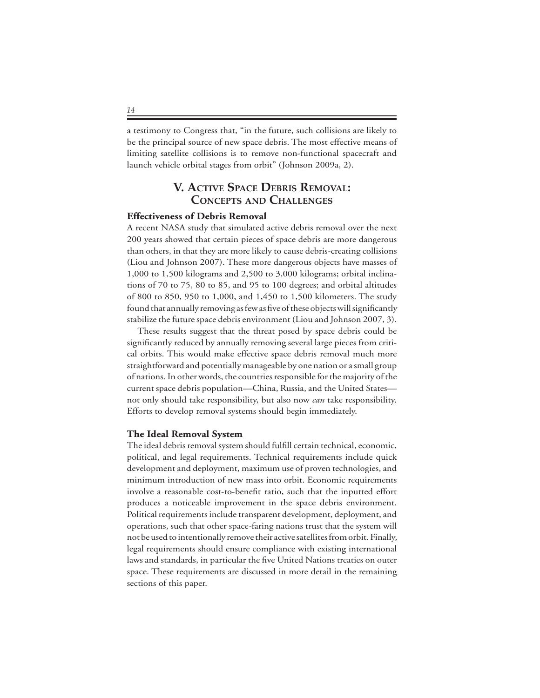a testimony to Congress that, "in the future, such collisions are likely to be the principal source of new space debris. The most effective means of limiting satellite collisions is to remove non-functional spacecraft and launch vehicle orbital stages from orbit" (Johnson 2009a, 2).

# **1. ACTIVE SPACE DEBRIS REMOVAL: CONCEPTS AND CHALLENGES**

#### **Effectiveness of Debris Removal**

A recent NASA study that simulated active debris removal over the next 200 years showed that certain pieces of space debris are more dangerous than others, in that they are more likely to cause debris-creating collisions (Liou and Johnson 2007). These more dangerous objects have masses of 1,000 to 1,500 kilograms and 2,500 to 3,000 kilograms; orbital inclinations of 70 to 75, 80 to 85, and 95 to 100 degrees; and orbital altitudes of 800 to 850, 950 to 1,000, and 1,450 to 1,500 kilometers. The study found that annually removing as few as five of these objects will significantly stabilize the future space debris environment (Liou and Johnson 2007, 3).

 These results suggest that the threat posed by space debris could be significantly reduced by annually removing several large pieces from critical orbits. This would make effective space debris removal much more straightforward and potentially manageable by one nation or a small group of nations. In other words, the countries responsible for the majority of the current space debris population—China, Russia, and the United States not only should take responsibility, but also now *can* take responsibility. Efforts to develop removal systems should begin immediately.

#### **The Ideal Removal System**

The ideal debris removal system should fulfill certain technical, economic, political, and legal requirements. Technical requirements include quick development and deployment, maximum use of proven technologies, and minimum introduction of new mass into orbit. Economic requirements involve a reasonable cost-to-benefit ratio, such that the inputted effort produces a noticeable improvement in the space debris environment. Political requirements include transparent development, deployment, and operations, such that other space-faring nations trust that the system will not be used to intentionally remove their active satellites from orbit. Finally, legal requirements should ensure compliance with existing international laws and standards, in particular the five United Nations treaties on outer space. These requirements are discussed in more detail in the remaining sections of this paper.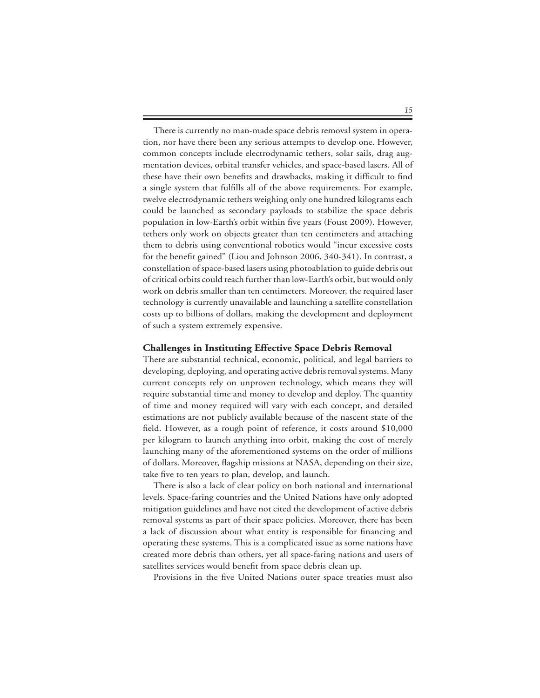There is currently no man-made space debris removal system in operation, nor have there been any serious attempts to develop one. However, common concepts include electrodynamic tethers, solar sails, drag augmentation devices, orbital transfer vehicles, and space-based lasers. All of these have their own benefits and drawbacks, making it difficult to find a single system that fulfills all of the above requirements. For example, twelve electrodynamic tethers weighing only one hundred kilograms each could be launched as secondary payloads to stabilize the space debris population in low-Earth's orbit within five years (Foust 2009). However, tethers only work on objects greater than ten centimeters and attaching them to debris using conventional robotics would "incur excessive costs for the benefit gained" (Liou and Johnson 2006, 340-341). In contrast, a constellation of space-based lasers using photoablation to guide debris out of critical orbits could reach further than low-Earth's orbit, but would only work on debris smaller than ten centimeters. Moreover, the required laser technology is currently unavailable and launching a satellite constellation costs up to billions of dollars, making the development and deployment of such a system extremely expensive.

#### **Challenges in Instituting Effective Space Debris Removal**

There are substantial technical, economic, political, and legal barriers to developing, deploying, and operating active debris removal systems. Many current concepts rely on unproven technology, which means they will require substantial time and money to develop and deploy. The quantity of time and money required will vary with each concept, and detailed estimations are not publicly available because of the nascent state of the field. However, as a rough point of reference, it costs around \$10,000 per kilogram to launch anything into orbit, making the cost of merely launching many of the aforementioned systems on the order of millions of dollars. Moreover, flagship missions at NASA, depending on their size, take five to ten years to plan, develop, and launch.

 There is also a lack of clear policy on both national and international levels. Space-faring countries and the United Nations have only adopted mitigation guidelines and have not cited the development of active debris removal systems as part of their space policies. Moreover, there has been a lack of discussion about what entity is responsible for financing and operating these systems. This is a complicated issue as some nations have created more debris than others, yet all space-faring nations and users of satellites services would benefit from space debris clean up.

Provisions in the five United Nations outer space treaties must also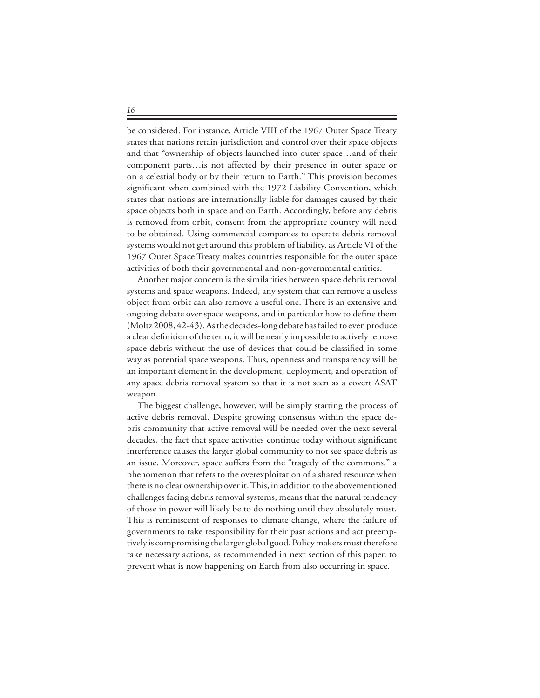be considered. For instance, Article VIII of the 1967 Outer Space Treaty states that nations retain jurisdiction and control over their space objects and that "ownership of objects launched into outer space…and of their component parts…is not affected by their presence in outer space or on a celestial body or by their return to Earth." This provision becomes significant when combined with the 1972 Liability Convention, which states that nations are internationally liable for damages caused by their space objects both in space and on Earth. Accordingly, before any debris is removed from orbit, consent from the appropriate country will need to be obtained. Using commercial companies to operate debris removal systems would not get around this problem of liability, as Article VI of the 1967 Outer Space Treaty makes countries responsible for the outer space activities of both their governmental and non-governmental entities.

 Another major concern is the similarities between space debris removal systems and space weapons. Indeed, any system that can remove a useless object from orbit can also remove a useful one. There is an extensive and ongoing debate over space weapons, and in particular how to define them (Moltz 2008, 42-43). As the decades-long debate has failed to even produce a clear definition of the term, it will be nearly impossible to actively remove space debris without the use of devices that could be classified in some way as potential space weapons. Thus, openness and transparency will be an important element in the development, deployment, and operation of any space debris removal system so that it is not seen as a covert ASAT weapon.

 The biggest challenge, however, will be simply starting the process of active debris removal. Despite growing consensus within the space debris community that active removal will be needed over the next several decades, the fact that space activities continue today without significant interference causes the larger global community to not see space debris as an issue. Moreover, space suffers from the "tragedy of the commons," a phenomenon that refers to the overexploitation of a shared resource when there is no clear ownership over it. This, in addition to the abovementioned challenges facing debris removal systems, means that the natural tendency of those in power will likely be to do nothing until they absolutely must. This is reminiscent of responses to climate change, where the failure of governments to take responsibility for their past actions and act preemptively is compromising the larger global good. Policy makers must therefore take necessary actions, as recommended in next section of this paper, to prevent what is now happening on Earth from also occurring in space.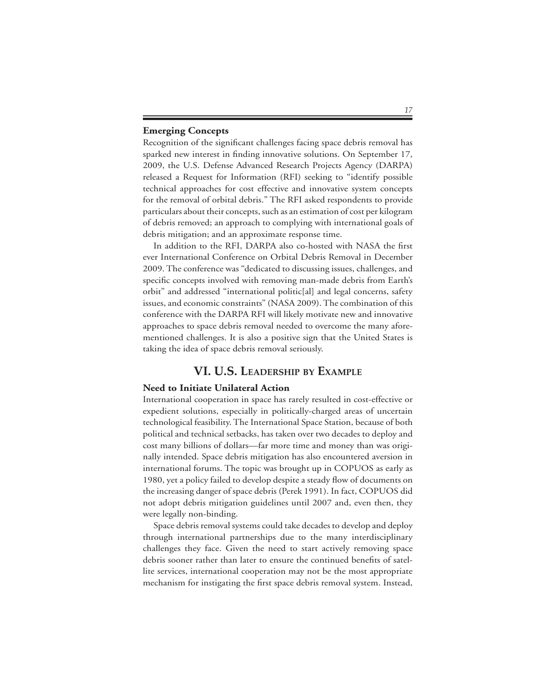#### **Emerging Concepts**

Recognition of the significant challenges facing space debris removal has sparked new interest in finding innovative solutions. On September 17, 2009, the U.S. Defense Advanced Research Projects Agency (DARPA) released a Request for Information (RFI) seeking to "identify possible technical approaches for cost effective and innovative system concepts for the removal of orbital debris." The RFI asked respondents to provide particulars about their concepts, such as an estimation of cost per kilogram of debris removed; an approach to complying with international goals of debris mitigation; and an approximate response time.

 In addition to the RFI, DARPA also co-hosted with NASA the first ever International Conference on Orbital Debris Removal in December 2009. The conference was "dedicated to discussing issues, challenges, and specific concepts involved with removing man-made debris from Earth's orbit" and addressed "international politic[al] and legal concerns, safety issues, and economic constraints" (NASA 2009). The combination of this conference with the DARPA RFI will likely motivate new and innovative approaches to space debris removal needed to overcome the many aforementioned challenges. It is also a positive sign that the United States is taking the idea of space debris removal seriously.

# **10.5. LEADERSHIP BY EXAMPLE**

### **Need to Initiate Unilateral Action**

International cooperation in space has rarely resulted in cost-effective or expedient solutions, especially in politically-charged areas of uncertain technological feasibility. The International Space Station, because of both political and technical setbacks, has taken over two decades to deploy and cost many billions of dollars—far more time and money than was originally intended. Space debris mitigation has also encountered aversion in international forums. The topic was brought up in COPUOS as early as 1980, yet a policy failed to develop despite a steady flow of documents on the increasing danger of space debris (Perek 1991). In fact, COPUOS did not adopt debris mitigation guidelines until 2007 and, even then, they were legally non-binding.

 Space debris removal systems could take decades to develop and deploy through international partnerships due to the many interdisciplinary challenges they face. Given the need to start actively removing space debris sooner rather than later to ensure the continued benefits of satellite services, international cooperation may not be the most appropriate mechanism for instigating the first space debris removal system. Instead,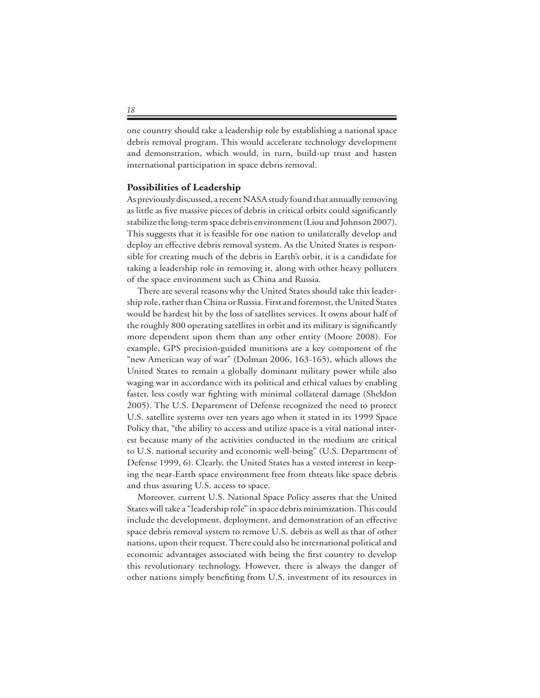one country should take a leadership role by establishing a national space debris removal program. This would accelerate technology development and demonstration, which would, in turn, build-up trust and hasten international participation in space debris removal.

#### **Possibilities of Leadership**

As previously discussed, a recent NASA study found that annually removing as little as five massive pieces of debris in critical orbits could significantly stabilize the long-term space debris environment (Liou and Johnson 2007). This suggests that it is feasible for one nation to unilaterally develop and deploy an effective debris removal system. As the United States is responsible for creating much of the debris in Earth's orbit, it is a candidate for taking a leadership role in removing it, along with other heavy polluters of the space environment such as China and Russia.

 There are several reasons why the United States should take this leadership role, rather than China or Russia. First and foremost, the United States would be hardest hit by the loss of satellites services. It owns about half of the roughly 800 operating satellites in orbit and its military is significantly more dependent upon them than any other entity (Moore 2008). For example, GPS precision-guided munitions are a key component of the "new American way of war" (Dolman 2006, 163-165), which allows the United States to remain a globally dominant military power while also waging war in accordance with its political and ethical values by enabling faster, less costly war fighting with minimal collateral damage (Sheldon 2005). The U.S. Department of Defense recognized the need to protect U.S. satellite systems over ten years ago when it stated in its 1999 Space Policy that, "the ability to access and utilize space is a vital national interest because many of the activities conducted in the medium are critical to U.S. national security and economic well-being" (U.S. Department of Defense 1999, 6). Clearly, the United States has a vested interest in keeping the near-Earth space environment free from threats like space debris and thus assuring U.S. access to space.

 Moreover, current U.S. National Space Policy asserts that the United States will take a "leadership role" in space debris minimization. This could include the development, deployment, and demonstration of an effective space debris removal system to remove U.S. debris as well as that of other nations, upon their request. There could also be international political and economic advantages associated with being the first country to develop this revolutionary technology. However, there is always the danger of other nations simply benefiting from U.S. investment of its resources in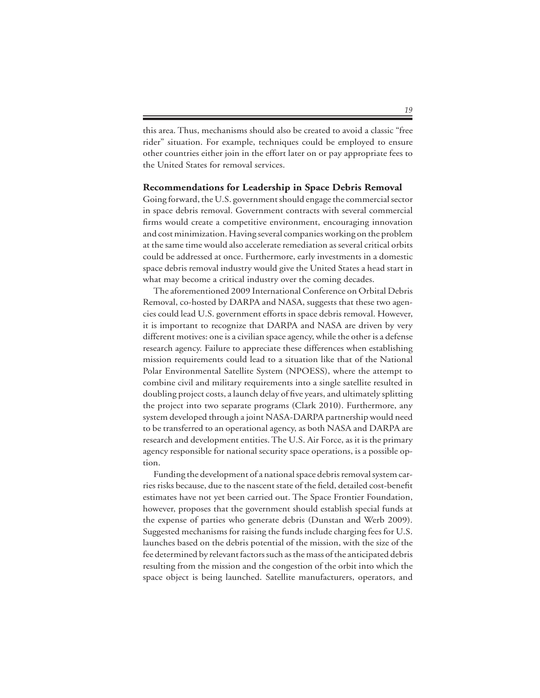this area. Thus, mechanisms should also be created to avoid a classic "free rider" situation. For example, techniques could be employed to ensure other countries either join in the effort later on or pay appropriate fees to the United States for removal services.

#### **Recommendations for Leadership in Space Debris Removal**

Going forward, the U.S. government should engage the commercial sector in space debris removal. Government contracts with several commercial firms would create a competitive environment, encouraging innovation and cost minimization. Having several companies working on the problem at the same time would also accelerate remediation as several critical orbits could be addressed at once. Furthermore, early investments in a domestic space debris removal industry would give the United States a head start in what may become a critical industry over the coming decades.

 The aforementioned 2009 International Conference on Orbital Debris Removal, co-hosted by DARPA and NASA, suggests that these two agencies could lead U.S. government efforts in space debris removal. However, it is important to recognize that DARPA and NASA are driven by very different motives: one is a civilian space agency, while the other is a defense research agency. Failure to appreciate these differences when establishing mission requirements could lead to a situation like that of the National Polar Environmental Satellite System (NPOESS), where the attempt to combine civil and military requirements into a single satellite resulted in doubling project costs, a launch delay of five years, and ultimately splitting the project into two separate programs (Clark 2010). Furthermore, any system developed through a joint NASA-DARPA partnership would need to be transferred to an operational agency, as both NASA and DARPA are research and development entities. The U.S. Air Force, as it is the primary agency responsible for national security space operations, is a possible option.

 Funding the development of a national space debris removal system carries risks because, due to the nascent state of the field, detailed cost-benefit estimates have not yet been carried out. The Space Frontier Foundation, however, proposes that the government should establish special funds at the expense of parties who generate debris (Dunstan and Werb 2009). Suggested mechanisms for raising the funds include charging fees for U.S. launches based on the debris potential of the mission, with the size of the fee determined by relevant factors such as the mass of the anticipated debris resulting from the mission and the congestion of the orbit into which the space object is being launched. Satellite manufacturers, operators, and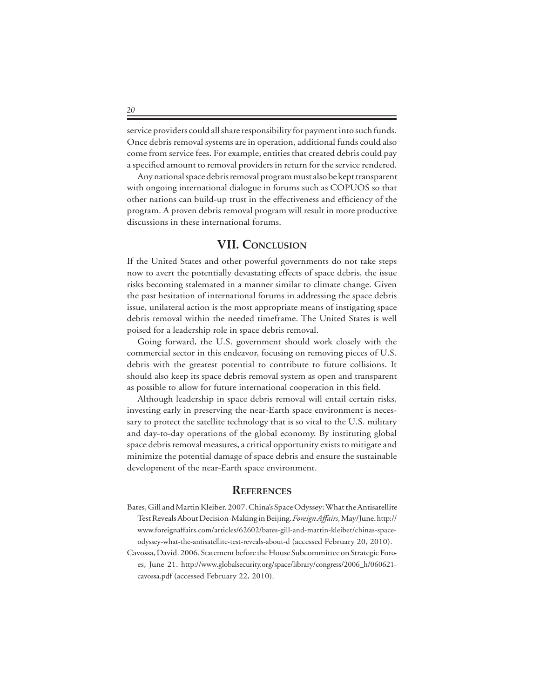service providers could all share responsibility for payment into such funds. Once debris removal systems are in operation, additional funds could also come from service fees. For example, entities that created debris could pay a specified amount to removal providers in return for the service rendered.

 Any national space debris removal program must also be kept transparent with ongoing international dialogue in forums such as COPUOS so that other nations can build-up trust in the effectiveness and efficiency of the program. A proven debris removal program will result in more productive discussions in these international forums.

# **VII. CONCLUSION**

If the United States and other powerful governments do not take steps now to avert the potentially devastating effects of space debris, the issue risks becoming stalemated in a manner similar to climate change. Given the past hesitation of international forums in addressing the space debris issue, unilateral action is the most appropriate means of instigating space debris removal within the needed timeframe. The United States is well poised for a leadership role in space debris removal.

 Going forward, the U.S. government should work closely with the commercial sector in this endeavor, focusing on removing pieces of U.S. debris with the greatest potential to contribute to future collisions. It should also keep its space debris removal system as open and transparent as possible to allow for future international cooperation in this field.

 Although leadership in space debris removal will entail certain risks, investing early in preserving the near-Earth space environment is necessary to protect the satellite technology that is so vital to the U.S. military and day-to-day operations of the global economy. By instituting global space debris removal measures, a critical opportunity exists to mitigate and minimize the potential damage of space debris and ensure the sustainable development of the near-Earth space environment.

## **REFERENCES**

- Bates, Gill and Martin Kleiber. 2007. China's Space Odyssey: What the Antisatellite Test Reveals About Decision-Making in Beijing. *Foreign Affairs*, May/June. http:// www.foreignaffairs.com/articles/62602/bates-gill-and-martin-kleiber/chinas-spaceodyssey-what-the-antisatellite-test-reveals-about-d (accessed February 20, 2010).
- Cavossa, David. 2006. Statement before the House Subcommittee on Strategic Forces, June 21. http://www.globalsecurity.org/space/library/congress/2006\_h/060621 cavossa.pdf (accessed February 22, 2010).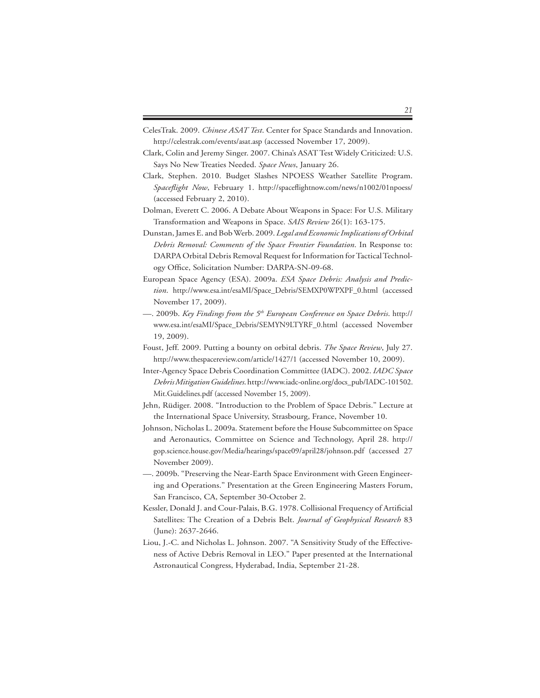- CelesTrak. 2009. *Chinese ASAT Test*. Center for Space Standards and Innovation. http://celestrak.com/events/asat.asp (accessed November 17, 2009).
- Clark, Colin and Jeremy Singer. 2007. China's ASAT Test Widely Criticized: U.S. Says No New Treaties Needed. *Space News*, January 26.
- Clark, Stephen. 2010. Budget Slashes NPOESS Weather Satellite Program. *Spaceflight Now*, February 1. http://spaceflightnow.com/news/n1002/01npoess/ (accessed February 2, 2010).
- Dolman, Everett C. 2006. A Debate About Weapons in Space: For U.S. Military Transformation and Weapons in Space. *SAIS Review* 26(1): 163-175.
- Dunstan, James E. and Bob Werb. 2009. *Legal and Economic Implications of Orbital Debris Removal: Comments of the Space Frontier Foundation*. In Response to: DARPA Orbital Debris Removal Request for Information for Tactical Technology Office, Solicitation Number: DARPA-SN-09-68.
- European Space Agency (ESA). 2009a. *ESA Space Debris: Analysis and Prediction*. http://www.esa.int/esaMI/Space\_Debris/SEMXP0WPXPF\_0.html (accessed November 17, 2009).
- —. 2009b. *Key Findings from the 5th European Conference on Space Debris*. http:// www.esa.int/esaMI/Space\_Debris/SEMYN9LTYRF\_0.html (accessed November 19, 2009).
- Foust, Jeff. 2009. Putting a bounty on orbital debris. *The Space Review*, July 27. http://www.thespacereview.com/article/1427/1 (accessed November 10, 2009).
- Inter-Agency Space Debris Coordination Committee (IADC). 2002. *IADC Space Debris Mitigation Guidelines*. http://www.iadc-online.org/docs\_pub/IADC-101502. Mit.Guidelines.pdf (accessed November 15, 2009).
- Jehn, Rüdiger. 2008. "Introduction to the Problem of Space Debris." Lecture at the International Space University, Strasbourg, France, November 10.
- Johnson, Nicholas L. 2009a. Statement before the House Subcommittee on Space and Aeronautics, Committee on Science and Technology, April 28. http:// gop.science.house.gov/Media/hearings/space09/april28/johnson.pdf (accessed 27 November 2009).
- —. 2009b. "Preserving the Near-Earth Space Environment with Green Engineering and Operations." Presentation at the Green Engineering Masters Forum, San Francisco, CA, September 30-October 2.
- Kessler, Donald J. and Cour-Palais, B.G. 1978. Collisional Frequency of Artificial Satellites: The Creation of a Debris Belt. *Journal of Geophysical Research* 83 (June): 2637-2646.
- Liou, J.-C. and Nicholas L. Johnson. 2007. "A Sensitivity Study of the Effectiveness of Active Debris Removal in LEO." Paper presented at the International Astronautical Congress, Hyderabad, India, September 21-28.